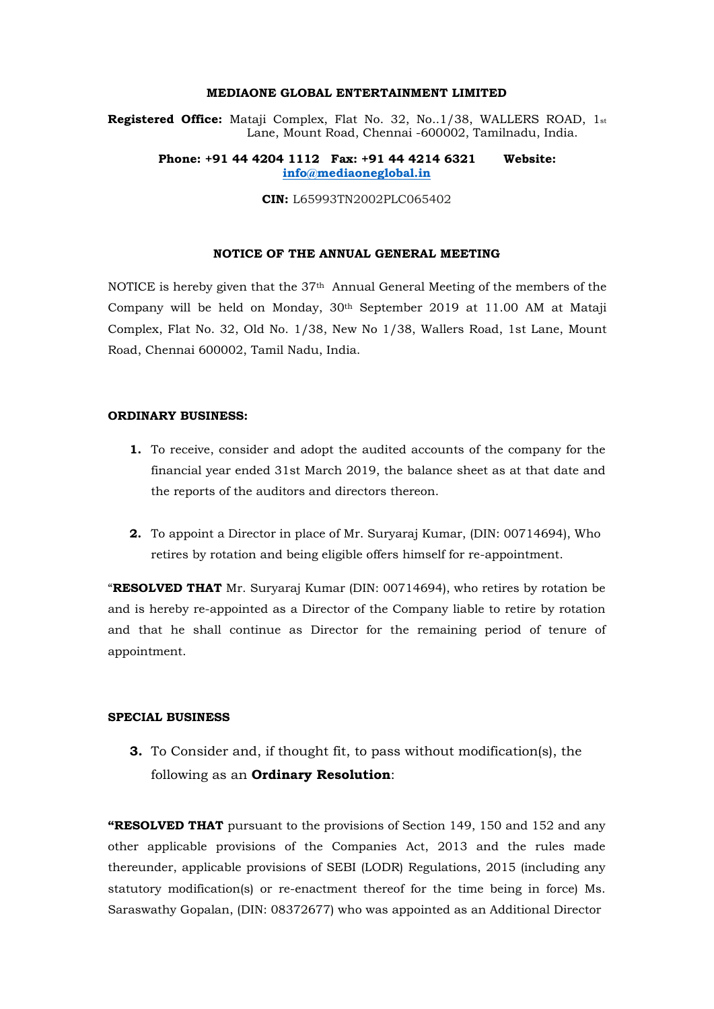# **MEDIAONE GLOBAL ENTERTAINMENT LIMITED**

**Registered Office:** Mataji Complex, Flat No. 32, No..1/38, WALLERS ROAD, 1st Lane, Mount Road, Chennai -600002, Tamilnadu, India.

## **Phone: +91 44 4204 1112 Fax: +91 44 4214 6321 Website: [info@mediaoneglobal.in](mailto:info@mediaoneglobal.in)**

**CIN:** L65993TN2002PLC065402

#### **NOTICE OF THE ANNUAL GENERAL MEETING**

NOTICE is hereby given that the 37th Annual General Meeting of the members of the Company will be held on Monday, 30th September 2019 at 11.00 AM at Mataji Complex, Flat No. 32, Old No. 1/38, New No 1/38, Wallers Road, 1st Lane, Mount Road, Chennai 600002, Tamil Nadu, India.

#### **ORDINARY BUSINESS:**

- **1.** To receive, consider and adopt the audited accounts of the company for the financial year ended 31st March 2019, the balance sheet as at that date and the reports of the auditors and directors thereon.
- **2.** To appoint a Director in place of Mr. Suryaraj Kumar, (DIN: [00714694\), W](http://www.mca.gov.in/mcafoportal/companyLLPMasterData.do)ho retires by rotation and being eligible offers himself for re-appointment.

"**RESOLVED THAT** Mr. Suryaraj Kumar (DIN: [00714694\), w](http://www.mca.gov.in/mcafoportal/companyLLPMasterData.do)ho retires by rotation be and is hereby re-appointed as a Director of the Company liable to retire by rotation and that he shall continue as Director for the remaining period of tenure of appointment.

# **SPECIAL BUSINESS**

**3.** To Consider and, if thought fit, to pass without modification(s), the following as an **Ordinary Resolution**:

**"RESOLVED THAT** pursuant to the provisions of Section 149, 150 and 152 and any other applicable provisions of the Companies Act, 2013 and the rules made thereunder, applicable provisions of SEBI (LODR) Regulations, 2015 (including any statutory modification(s) or re-enactment thereof for the time being in force) Ms. Saraswathy Gopalan, (DIN: [08372677\) w](http://www.mca.gov.in/mcafoportal/companyLLPMasterData.do)ho was appointed as an Additional Director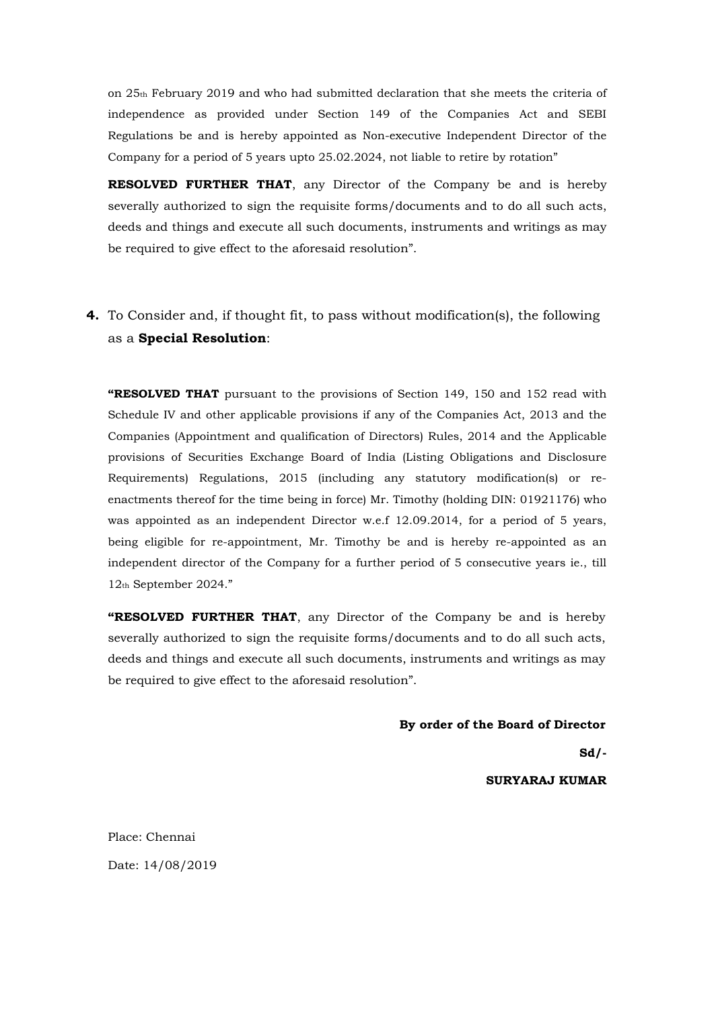on 25th February 2019 and who had submitted declaration that she meets the criteria of independence as provided under Section 149 of the Companies Act and SEBI Regulations be and is hereby appointed as Non-executive Independent Director of the Company for a period of 5 years upto 25.02.2024, not liable to retire by rotation"

**RESOLVED FURTHER THAT**, any Director of the Company be and is hereby severally authorized to sign the requisite forms/documents and to do all such acts, deeds and things and execute all such documents, instruments and writings as may be required to give effect to the aforesaid resolution".

**4.** To Consider and, if thought fit, to pass without modification(s), the following as a **Special Resolution**:

**"RESOLVED THAT** pursuant to the provisions of Section 149, 150 and 152 read with Schedule IV and other applicable provisions if any of the Companies Act, 2013 and the Companies (Appointment and qualification of Directors) Rules, 2014 and the Applicable provisions of Securities Exchange Board of India (Listing Obligations and Disclosure Requirements) Regulations, 2015 (including any statutory modification(s) or reenactments thereof for the time being in force) Mr. Timothy (holding DIN: [01921176\) w](http://www.mca.gov.in/mcafoportal/companyLLPMasterData.do)ho was appointed as an independent Director w.e.f 12.09.2014, for a period of 5 years, being eligible for re-appointment, Mr. Timothy be and is hereby re-appointed as an independent director of the Company for a further period of 5 consecutive years ie., till 12th September 2024."

**"RESOLVED FURTHER THAT**, any Director of the Company be and is hereby severally authorized to sign the requisite forms/documents and to do all such acts, deeds and things and execute all such documents, instruments and writings as may be required to give effect to the aforesaid resolution".

#### **By order of the Board of Director**

**Sd/-**

**SURYARAJ KUMAR**

Place: Chennai Date: 14/08/2019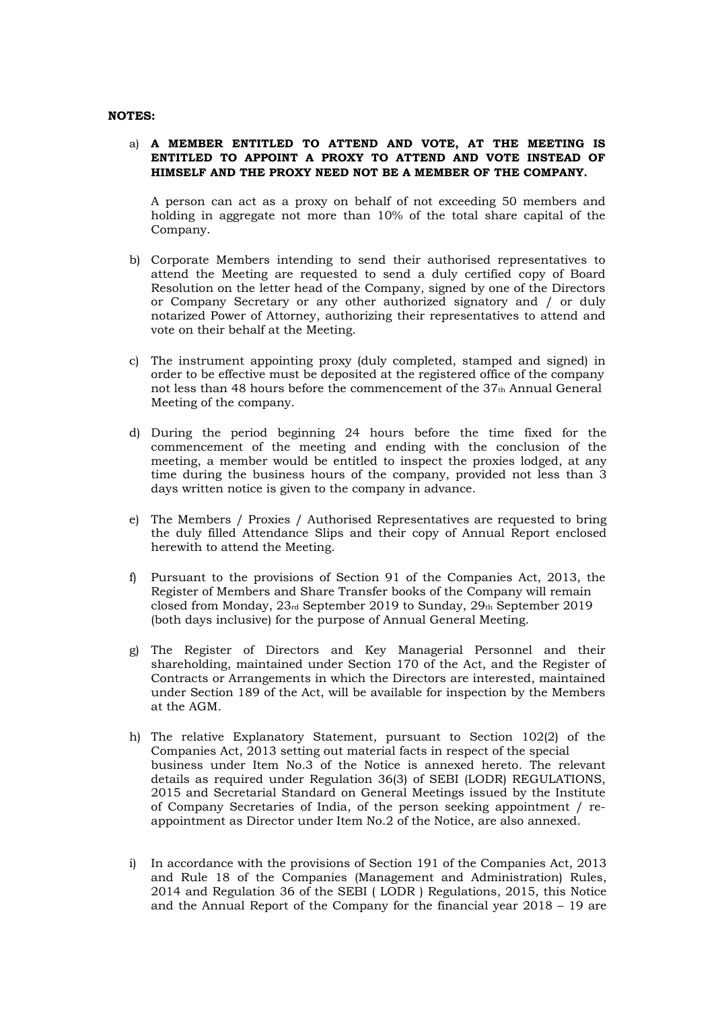#### **NOTES:**

# a) **A MEMBER ENTITLED TO ATTEND AND VOTE, AT THE MEETING IS ENTITLED TO APPOINT A PROXY TO ATTEND AND VOTE INSTEAD OF HIMSELF AND THE PROXY NEED NOT BE A MEMBER OF THE COMPANY.**

A person can act as a proxy on behalf of not exceeding 50 members and holding in aggregate not more than 10% of the total share capital of the Company.

- b) Corporate Members intending to send their authorised representatives to attend the Meeting are requested to send a duly certified copy of Board Resolution on the letter head of the Company, signed by one of the Directors or Company Secretary or any other authorized signatory and / or duly notarized Power of Attorney, authorizing their representatives to attend and vote on their behalf at the Meeting.
- c) The instrument appointing proxy (duly completed, stamped and signed) in order to be effective must be deposited at the registered office of the company not less than 48 hours before the commencement of the 37<sup>th</sup> Annual General Meeting of the company.
- d) During the period beginning 24 hours before the time fixed for the commencement of the meeting and ending with the conclusion of the meeting, a member would be entitled to inspect the proxies lodged, at any time during the business hours of the company, provided not less than 3 days written notice is given to the company in advance.
- e) The Members / Proxies / Authorised Representatives are requested to bring the duly filled Attendance Slips and their copy of Annual Report enclosed herewith to attend the Meeting.
- f) Pursuant to the provisions of Section 91 of the Companies Act, 2013, the Register of Members and Share Transfer books of the Company will remain closed from Monday, 23rd September 2019 to Sunday, 29th September 2019 (both days inclusive) for the purpose of Annual General Meeting.
- g) The Register of Directors and Key Managerial Personnel and their shareholding, maintained under Section 170 of the Act, and the Register of Contracts or Arrangements in which the Directors are interested, maintained under Section 189 of the Act, will be available for inspection by the Members at the AGM.
- h) The relative Explanatory Statement, pursuant to Section 102(2) of the Companies Act, 2013 setting out material facts in respect of the special business under Item No.3 of the Notice is annexed hereto. The relevant details as required under Regulation 36(3) of SEBI (LODR) REGULATIONS, 2015 and Secretarial Standard on General Meetings issued by the Institute of Company Secretaries of India, of the person seeking appointment / reappointment as Director under Item No.2 of the Notice, are also annexed.
- i) In accordance with the provisions of Section 191 of the Companies Act, 2013 and Rule 18 of the Companies (Management and Administration) Rules, 2014 and Regulation 36 of the SEBI ( LODR ) Regulations, 2015, this Notice and the Annual Report of the Company for the financial year 2018 – 19 are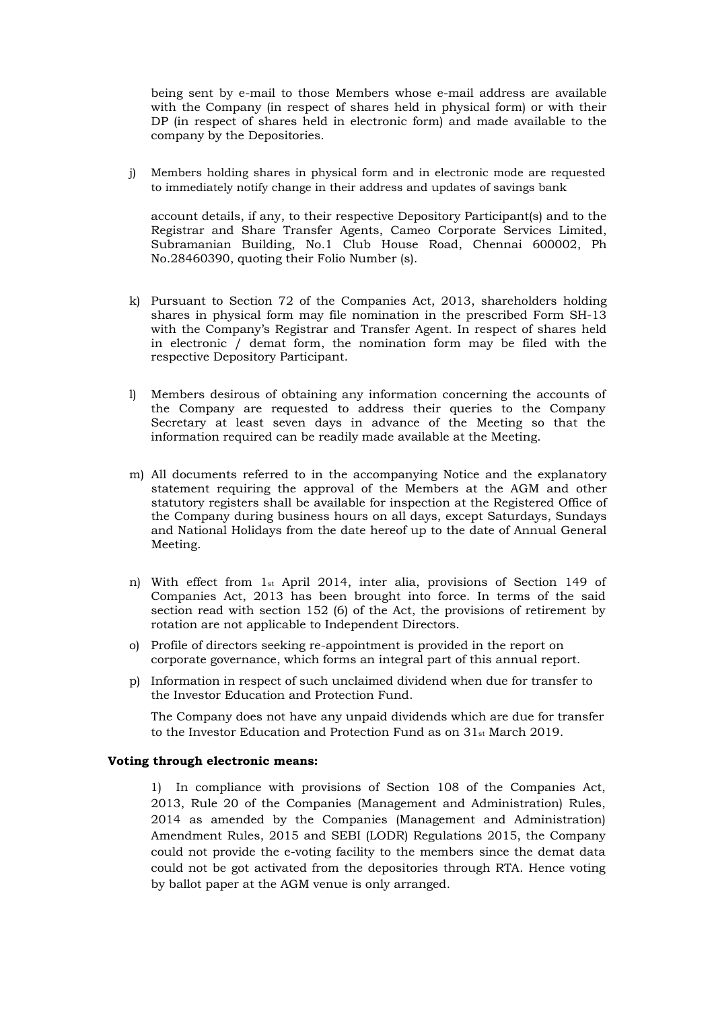being sent by e-mail to those Members whose e-mail address are available with the Company (in respect of shares held in physical form) or with their DP (in respect of shares held in electronic form) and made available to the company by the Depositories.

j) Members holding shares in physical form and in electronic mode are requested to immediately notify change in their address and updates of savings bank

account details, if any, to their respective Depository Participant(s) and to the Registrar and Share Transfer Agents, Cameo Corporate Services Limited, Subramanian Building, No.1 Club House Road, Chennai 600002, Ph No.28460390, quoting their Folio Number (s).

- k) Pursuant to Section 72 of the Companies Act, 2013, shareholders holding shares in physical form may file nomination in the prescribed Form SH-13 with the Company's Registrar and Transfer Agent. In respect of shares held in electronic / demat form, the nomination form may be filed with the respective Depository Participant.
- l) Members desirous of obtaining any information concerning the accounts of the Company are requested to address their queries to the Company Secretary at least seven days in advance of the Meeting so that the information required can be readily made available at the Meeting.
- m) All documents referred to in the accompanying Notice and the explanatory statement requiring the approval of the Members at the AGM and other statutory registers shall be available for inspection at the Registered Office of the Company during business hours on all days, except Saturdays, Sundays and National Holidays from the date hereof up to the date of Annual General Meeting.
- n) With effect from 1st April 2014, inter alia, provisions of Section 149 of Companies Act, 2013 has been brought into force. In terms of the said section read with section 152 (6) of the Act, the provisions of retirement by rotation are not applicable to Independent Directors.
- o) Profile of directors seeking re-appointment is provided in the report on corporate governance, which forms an integral part of this annual report.
- p) Information in respect of such unclaimed dividend when due for transfer to the Investor Education and Protection Fund.

The Company does not have any unpaid dividends which are due for transfer to the Investor Education and Protection Fund as on 31st March 2019.

## **Voting through electronic means:**

1) In compliance with provisions of Section 108 of the Companies Act, 2013, Rule 20 of the Companies (Management and Administration) Rules, 2014 as amended by the Companies (Management and Administration) Amendment Rules, 2015 and SEBI (LODR) Regulations 2015, the Company could not provide the e-voting facility to the members since the demat data could not be got activated from the depositories through RTA. Hence voting by ballot paper at the AGM venue is only arranged.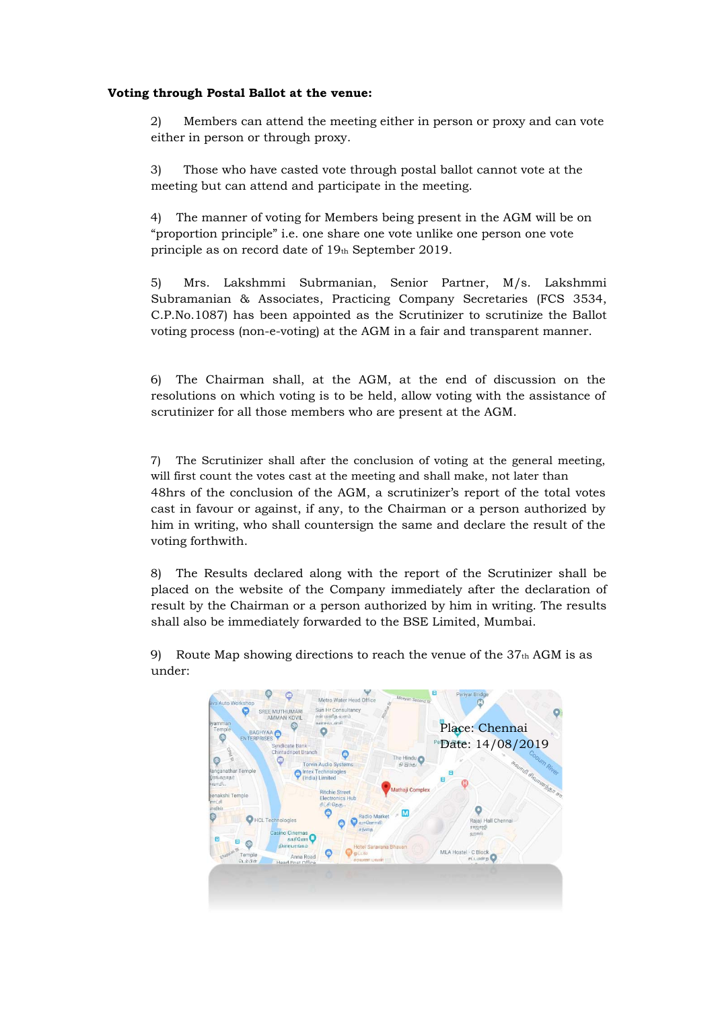# **Voting through Postal Ballot at the venue:**

2) Members can attend the meeting either in person or proxy and can vote either in person or through proxy.

3) Those who have casted vote through postal ballot cannot vote at the meeting but can attend and participate in the meeting.

4) The manner of voting for Members being present in the AGM will be on "proportion principle" i.e. one share one vote unlike one person one vote principle as on record date of 19th September 2019.

5) Mrs. Lakshmmi Subrmanian, Senior Partner, M/s. Lakshmmi Subramanian & Associates, Practicing Company Secretaries (FCS 3534, C.P.No.1087) has been appointed as the Scrutinizer to scrutinize the Ballot voting process (non-e-voting) at the AGM in a fair and transparent manner.

6) The Chairman shall, at the AGM, at the end of discussion on the resolutions on which voting is to be held, allow voting with the assistance of scrutinizer for all those members who are present at the AGM.

7) The Scrutinizer shall after the conclusion of voting at the general meeting, will first count the votes cast at the meeting and shall make, not later than 48hrs of the conclusion of the AGM, a scrutinizer's report of the total votes cast in favour or against, if any, to the Chairman or a person authorized by him in writing, who shall countersign the same and declare the result of the voting forthwith.

8) The Results declared along with the report of the Scrutinizer shall be placed on the website of the Company immediately after the declaration of result by the Chairman or a person authorized by him in writing. The results shall also be immediately forwarded to the BSE Limited, Mumbai.

9) Route Map showing directions to reach the venue of the  $37<sub>th</sub>$  AGM is as under:

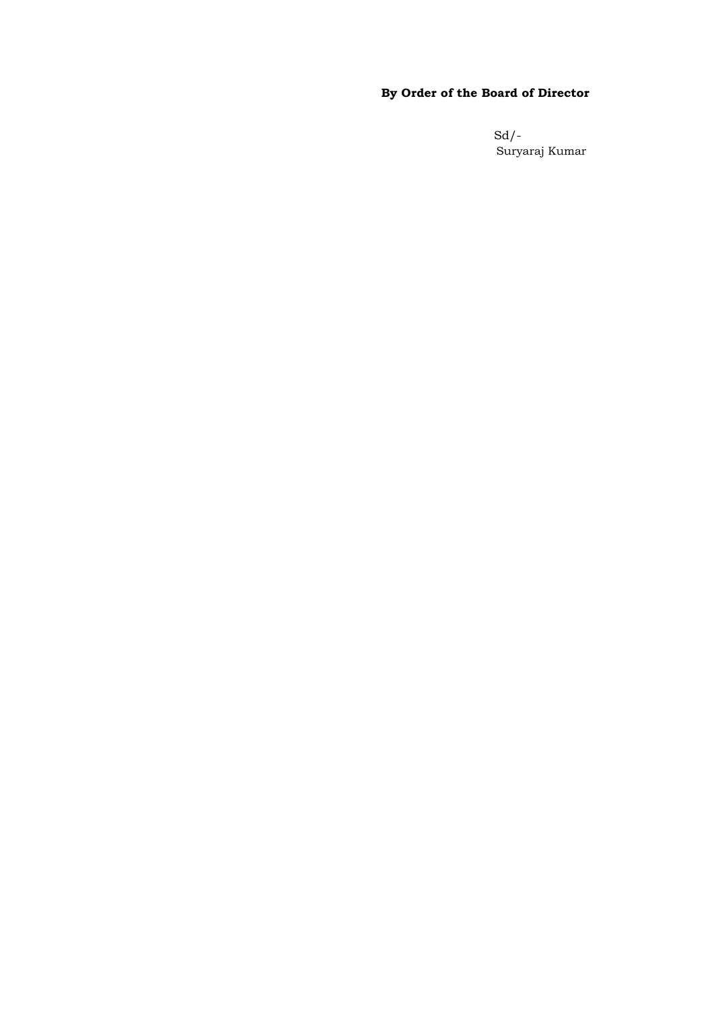# **By Order of the Board of Director**

Sd/- Suryaraj Kumar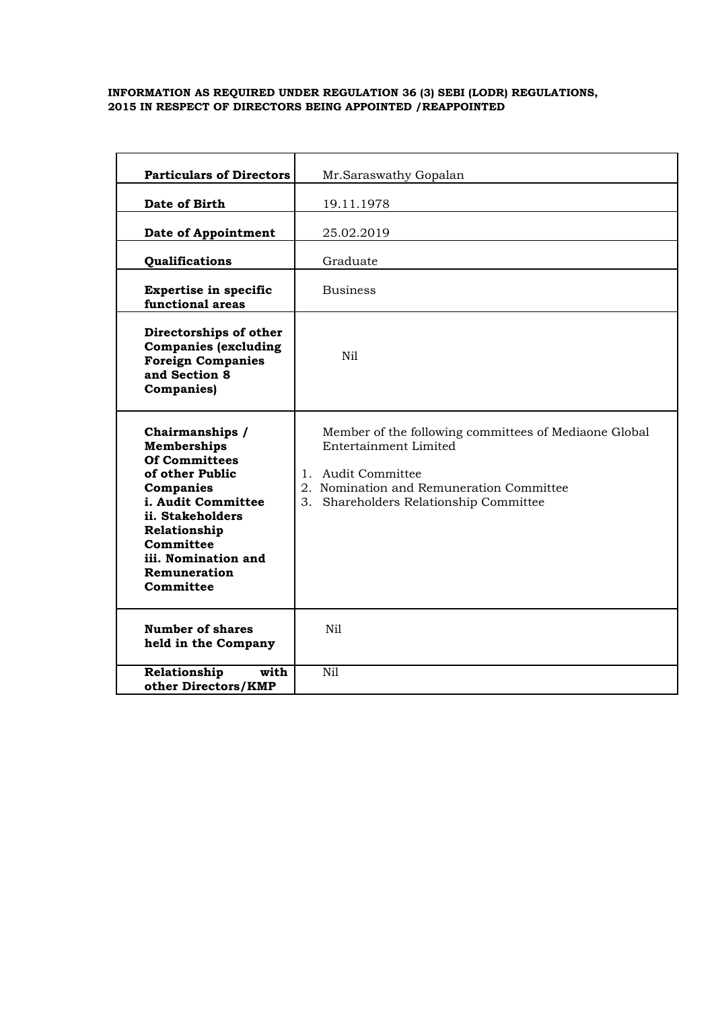## **INFORMATION AS REQUIRED UNDER REGULATION 36 (3) SEBI (LODR) REGULATIONS, 2015 IN RESPECT OF DIRECTORS BEING APPOINTED /REAPPOINTED**

| <b>Particulars of Directors</b>                                                                                                                                                                                          | Mr.Saraswathy Gopalan                                                                                                                                                                         |
|--------------------------------------------------------------------------------------------------------------------------------------------------------------------------------------------------------------------------|-----------------------------------------------------------------------------------------------------------------------------------------------------------------------------------------------|
| Date of Birth                                                                                                                                                                                                            | 19.11.1978                                                                                                                                                                                    |
| <b>Date of Appointment</b>                                                                                                                                                                                               | 25.02.2019                                                                                                                                                                                    |
| Qualifications                                                                                                                                                                                                           | Graduate                                                                                                                                                                                      |
| <b>Expertise in specific</b><br>functional areas                                                                                                                                                                         | <b>Business</b>                                                                                                                                                                               |
| Directorships of other<br><b>Companies (excluding</b><br><b>Foreign Companies</b><br>and Section 8<br><b>Companies</b> )                                                                                                 | Nil                                                                                                                                                                                           |
| Chairmanships /<br><b>Memberships</b><br><b>Of Committees</b><br>of other Public<br>Companies<br>i. Audit Committee<br>ii. Stakeholders<br>Relationship<br>Committee<br>iii. Nomination and<br>Remuneration<br>Committee | Member of the following committees of Mediaone Global<br>Entertainment Limited<br>1. Audit Committee<br>2. Nomination and Remuneration Committee<br>Shareholders Relationship Committee<br>3. |
| <b>Number of shares</b><br>held in the Company                                                                                                                                                                           | N <sub>i</sub>                                                                                                                                                                                |
| Relationship<br>with<br>other Directors/KMP                                                                                                                                                                              | Nil                                                                                                                                                                                           |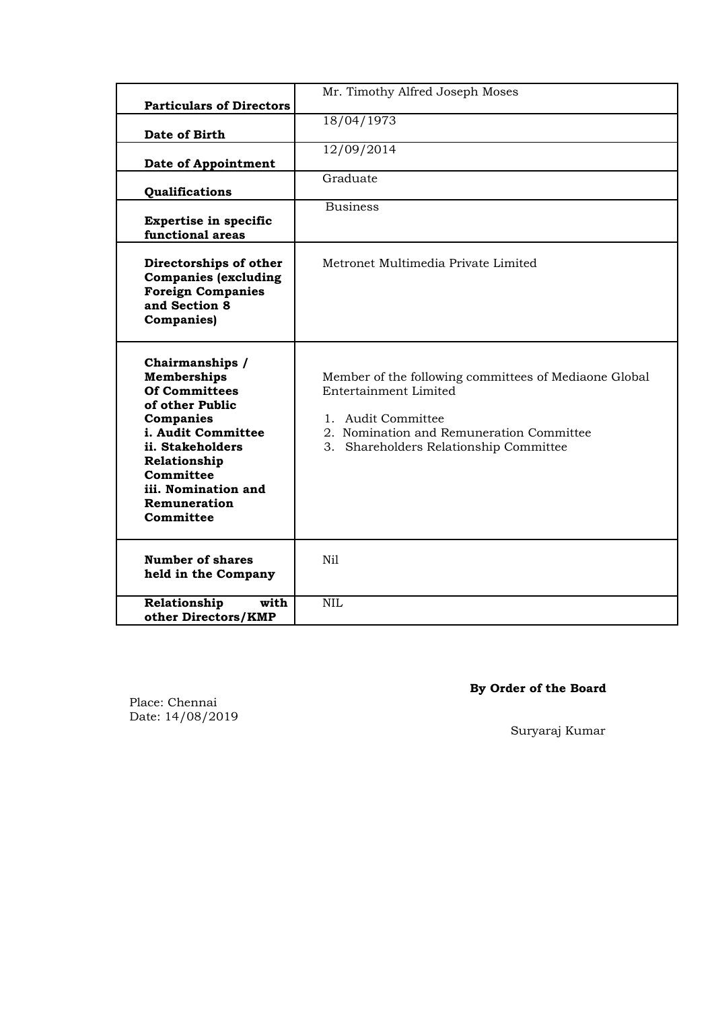| <b>Particulars of Directors</b>                                                                                                                                                                                          | Mr. Timothy Alfred Joseph Moses                                                                                                                                                            |
|--------------------------------------------------------------------------------------------------------------------------------------------------------------------------------------------------------------------------|--------------------------------------------------------------------------------------------------------------------------------------------------------------------------------------------|
| Date of Birth                                                                                                                                                                                                            | 18/04/1973                                                                                                                                                                                 |
| Date of Appointment                                                                                                                                                                                                      | 12/09/2014                                                                                                                                                                                 |
| Qualifications                                                                                                                                                                                                           | Graduate                                                                                                                                                                                   |
| <b>Expertise in specific</b><br>functional areas                                                                                                                                                                         | <b>Business</b>                                                                                                                                                                            |
| Directorships of other<br><b>Companies (excluding</b><br><b>Foreign Companies</b><br>and Section 8<br><b>Companies</b> )                                                                                                 | Metronet Multimedia Private Limited                                                                                                                                                        |
| Chairmanships /<br><b>Memberships</b><br><b>Of Committees</b><br>of other Public<br>Companies<br>i. Audit Committee<br>ii. Stakeholders<br>Relationship<br>Committee<br>iii. Nomination and<br>Remuneration<br>Committee | Member of the following committees of Mediaone Global<br>Entertainment Limited<br>1. Audit Committee<br>2. Nomination and Remuneration Committee<br>3. Shareholders Relationship Committee |
| <b>Number of shares</b><br>held in the Company                                                                                                                                                                           | Nil                                                                                                                                                                                        |
| with<br>Relationship<br>other Directors/KMP                                                                                                                                                                              | <b>NIL</b>                                                                                                                                                                                 |

# **By Order of the Board**

Place: Chennai Date: 14/08/2019

Suryaraj Kumar